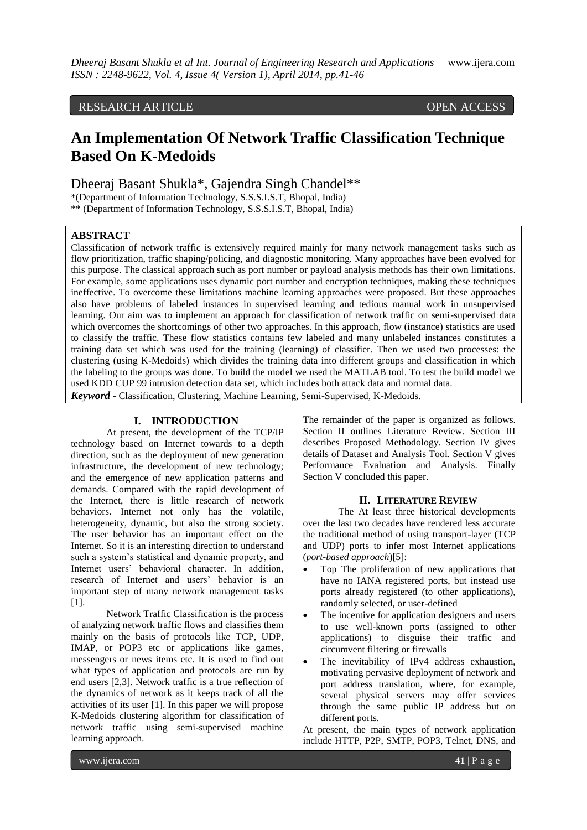## RESEARCH ARTICLE OPEN ACCESS

# **An Implementation Of Network Traffic Classification Technique Based On K-Medoids**

Dheeraj Basant Shukla\*, Gajendra Singh Chandel\*\*

\*(Department of Information Technology, S.S.S.I.S.T, Bhopal, India)

\*\* (Department of Information Technology, S.S.S.I.S.T, Bhopal, India)

## **ABSTRACT**

Classification of network traffic is extensively required mainly for many network management tasks such as flow prioritization, traffic shaping/policing, and diagnostic monitoring. Many approaches have been evolved for this purpose. The classical approach such as port number or payload analysis methods has their own limitations. For example, some applications uses dynamic port number and encryption techniques, making these techniques ineffective. To overcome these limitations machine learning approaches were proposed. But these approaches also have problems of labeled instances in supervised learning and tedious manual work in unsupervised learning. Our aim was to implement an approach for classification of network traffic on semi-supervised data which overcomes the shortcomings of other two approaches. In this approach, flow (instance) statistics are used to classify the traffic. These flow statistics contains few labeled and many unlabeled instances constitutes a training data set which was used for the training (learning) of classifier. Then we used two processes: the clustering (using K-Medoids) which divides the training data into different groups and classification in which the labeling to the groups was done. To build the model we used the MATLAB tool. To test the build model we used KDD CUP 99 intrusion detection data set, which includes both attack data and normal data. *Keyword* **-** Classification, Clustering, Machine Learning, Semi-Supervised, K-Medoids.

#### **I. INTRODUCTION**

At present, the development of the TCP/IP technology based on Internet towards to a depth direction, such as the deployment of new generation infrastructure, the development of new technology; and the emergence of new application patterns and demands. Compared with the rapid development of the Internet, there is little research of network behaviors. Internet not only has the volatile, heterogeneity, dynamic, but also the strong society. The user behavior has an important effect on the Internet. So it is an interesting direction to understand such a system's statistical and dynamic property, and Internet users' behavioral character. In addition, research of Internet and users' behavior is an important step of many network management tasks [1].

Network Traffic Classification is the process of analyzing network traffic flows and classifies them mainly on the basis of protocols like TCP, UDP, IMAP, or POP3 etc or applications like games, messengers or news items etc. It is used to find out what types of application and protocols are run by end users [2,3]. Network traffic is a true reflection of the dynamics of network as it keeps track of all the activities of its user [1]. In this paper we will propose K-Medoids clustering algorithm for classification of network traffic using semi-supervised machine learning approach.

The remainder of the paper is organized as follows. Section II outlines Literature Review. Section III describes Proposed Methodology. Section IV gives details of Dataset and Analysis Tool. Section V gives Performance Evaluation and Analysis. Finally Section V concluded this paper.

## **II. LITERATURE REVIEW**

The At least three historical developments over the last two decades have rendered less accurate the traditional method of using transport-layer (TCP and UDP) ports to infer most Internet applications (*port-based approach*)[5]:

- Top The proliferation of new applications that have no IANA registered ports, but instead use ports already registered (to other applications), randomly selected, or user-defined
- The incentive for application designers and users to use well-known ports (assigned to other applications) to disguise their traffic and circumvent filtering or firewalls
- The inevitability of IPv4 address exhaustion, motivating pervasive deployment of network and port address translation, where, for example, several physical servers may offer services through the same public IP address but on different ports.

At present, the main types of network application include HTTP, P2P, SMTP, POP3, Telnet, DNS, and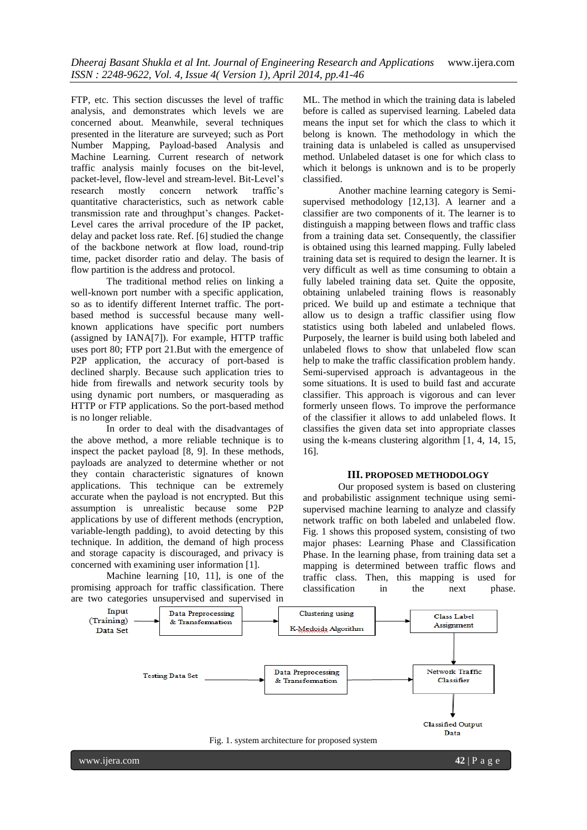FTP, etc. This section discusses the level of traffic analysis, and demonstrates which levels we are concerned about. Meanwhile, several techniques presented in the literature are surveyed; such as Port Number Mapping, Payload-based Analysis and Machine Learning. Current research of network traffic analysis mainly focuses on the bit-level, packet-level, flow-level and stream-level. Bit-Level's research mostly concern network traffic's quantitative characteristics, such as network cable transmission rate and throughput's changes. Packet-Level cares the arrival procedure of the IP packet, delay and packet loss rate. Ref. [6] studied the change of the backbone network at flow load, round-trip time, packet disorder ratio and delay. The basis of flow partition is the address and protocol.

The traditional method relies on linking a well-known port number with a specific application, so as to identify different Internet traffic. The portbased method is successful because many wellknown applications have specific port numbers (assigned by IANA[7]). For example, HTTP traffic uses port 80; FTP port 21.But with the emergence of P2P application, the accuracy of port-based is declined sharply. Because such application tries to hide from firewalls and network security tools by using dynamic port numbers, or masquerading as HTTP or FTP applications. So the port-based method is no longer reliable.

In order to deal with the disadvantages of the above method, a more reliable technique is to inspect the packet payload [8, 9]. In these methods, payloads are analyzed to determine whether or not they contain characteristic signatures of known applications. This technique can be extremely accurate when the payload is not encrypted. But this assumption is unrealistic because some P2P applications by use of different methods (encryption, variable-length padding), to avoid detecting by this technique. In addition, the demand of high process and storage capacity is discouraged, and privacy is concerned with examining user information [1].

Machine learning [10, 11], is one of the promising approach for traffic classification. There are two categories unsupervised and supervised in ML. The method in which the training data is labeled before is called as supervised learning. Labeled data means the input set for which the class to which it belong is known. The methodology in which the training data is unlabeled is called as unsupervised method. Unlabeled dataset is one for which class to which it belongs is unknown and is to be properly classified.

Another machine learning category is Semisupervised methodology [12,13]. A learner and a classifier are two components of it. The learner is to distinguish a mapping between flows and traffic class from a training data set. Consequently, the classifier is obtained using this learned mapping. Fully labeled training data set is required to design the learner. It is very difficult as well as time consuming to obtain a fully labeled training data set. Quite the opposite, obtaining unlabeled training flows is reasonably priced. We build up and estimate a technique that allow us to design a traffic classifier using flow statistics using both labeled and unlabeled flows. Purposely, the learner is build using both labeled and unlabeled flows to show that unlabeled flow scan help to make the traffic classification problem handy. Semi-supervised approach is advantageous in the some situations. It is used to build fast and accurate classifier. This approach is vigorous and can lever formerly unseen flows. To improve the performance of the classifier it allows to add unlabeled flows. It classifies the given data set into appropriate classes using the k-means clustering algorithm [1, 4, 14, 15, 16].

#### **III. PROPOSED METHODOLOGY**

Our proposed system is based on clustering and probabilistic assignment technique using semisupervised machine learning to analyze and classify network traffic on both labeled and unlabeled flow. Fig. 1 shows this proposed system, consisting of two major phases: Learning Phase and Classification Phase. In the learning phase, from training data set a mapping is determined between traffic flows and traffic class. Then, this mapping is used for classification in the next phase.

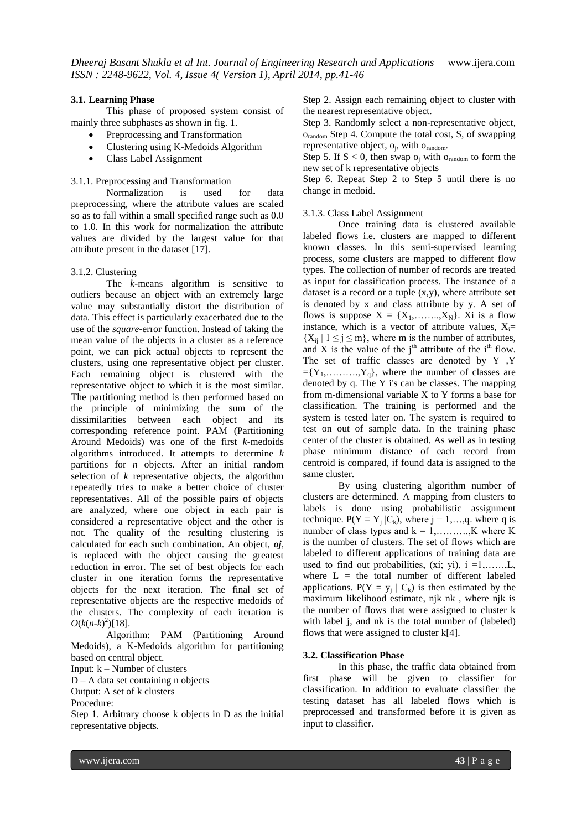## **3.1. Learning Phase**

This phase of proposed system consist of mainly three subphases as shown in fig. 1.

- Preprocessing and Transformation
- Clustering using K-Medoids Algorithm
- Class Label Assignment

#### 3.1.1. Preprocessing and Transformation

Normalization is used for data preprocessing, where the attribute values are scaled so as to fall within a small specified range such as 0.0 to 1.0. In this work for normalization the attribute values are divided by the largest value for that attribute present in the dataset [17].

#### 3.1.2. Clustering

The *k*-means algorithm is sensitive to outliers because an object with an extremely large value may substantially distort the distribution of data. This effect is particularly exacerbated due to the use of the *square*-error function. Instead of taking the mean value of the objects in a cluster as a reference point, we can pick actual objects to represent the clusters, using one representative object per cluster. Each remaining object is clustered with the representative object to which it is the most similar. The partitioning method is then performed based on the principle of minimizing the sum of the dissimilarities between each object and its corresponding reference point. PAM (Partitioning Around Medoids) was one of the first *k*-medoids algorithms introduced. It attempts to determine *k*  partitions for *n* objects. After an initial random selection of *k* representative objects, the algorithm repeatedly tries to make a better choice of cluster representatives. All of the possible pairs of objects are analyzed, where one object in each pair is considered a representative object and the other is not. The quality of the resulting clustering is calculated for each such combination. An object, *oj*, is replaced with the object causing the greatest reduction in error. The set of best objects for each cluster in one iteration forms the representative objects for the next iteration. The final set of representative objects are the respective medoids of the clusters. The complexity of each iteration is  $O(k(n-k)^2)[18]$ .

Algorithm: PAM (Partitioning Around Medoids), a K-Medoids algorithm for partitioning based on central object.

Input: k – Number of clusters

 $D - A$  data set containing n objects

Output: A set of k clusters

Procedure:

Step 1. Arbitrary choose k objects in D as the initial representative objects.

Step 2. Assign each remaining object to cluster with the nearest representative object.

Step 3. Randomly select a non-representative object, orandom Step 4. Compute the total cost, S, of swapping representative object, o<sub>j</sub>, with o<sub>random</sub>.

Step 5. If  $S < 0$ , then swap  $o_i$  with  $o_{random}$  to form the new set of k representative objects

Step 6. Repeat Step 2 to Step 5 until there is no change in medoid.

## 3.1.3. Class Label Assignment

Once training data is clustered available labeled flows i.e. clusters are mapped to different known classes. In this semi-supervised learning process, some clusters are mapped to different flow types. The collection of number of records are treated as input for classification process. The instance of a dataset is a record or a tuple  $(x,y)$ , where attribute set is denoted by x and class attribute by y. A set of flows is suppose  $X = \{X_1, \ldots, X_N\}$ . Xi is a flow instance, which is a vector of attribute values,  $X_i$ =  ${X_{ii} | 1 \le j \le m}$ , where m is the number of attributes, and X is the value of the  $j<sup>th</sup>$  attribute of the  $i<sup>th</sup>$  flow. The set of traffic classes are denoted by Y ,Y  $=[Y_1, \ldots, Y_q],$  where the number of classes are denoted by q. The Y i's can be classes. The mapping from m-dimensional variable X to Y forms a base for classification. The training is performed and the system is tested later on. The system is required to test on out of sample data. In the training phase center of the cluster is obtained. As well as in testing phase minimum distance of each record from centroid is compared, if found data is assigned to the same cluster.

By using clustering algorithm number of clusters are determined. A mapping from clusters to labels is done using probabilistic assignment technique.  $P(Y = Y_j | C_k)$ , where  $j = 1,...,q$ . where q is number of class types and  $k = 1, \dots, K$  where K is the number of clusters. The set of flows which are labeled to different applications of training data are used to find out probabilities,  $(xi; yi)$ ,  $i = 1, \ldots, L$ , where  $L =$  the total number of different labeled applications.  $P(Y = y_j | C_k)$  is then estimated by the maximum likelihood estimate, njk nk , where njk is the number of flows that were assigned to cluster k with label j, and nk is the total number of (labeled) flows that were assigned to cluster k[4].

## **3.2. Classification Phase**

In this phase, the traffic data obtained from first phase will be given to classifier for classification. In addition to evaluate classifier the testing dataset has all labeled flows which is preprocessed and transformed before it is given as input to classifier.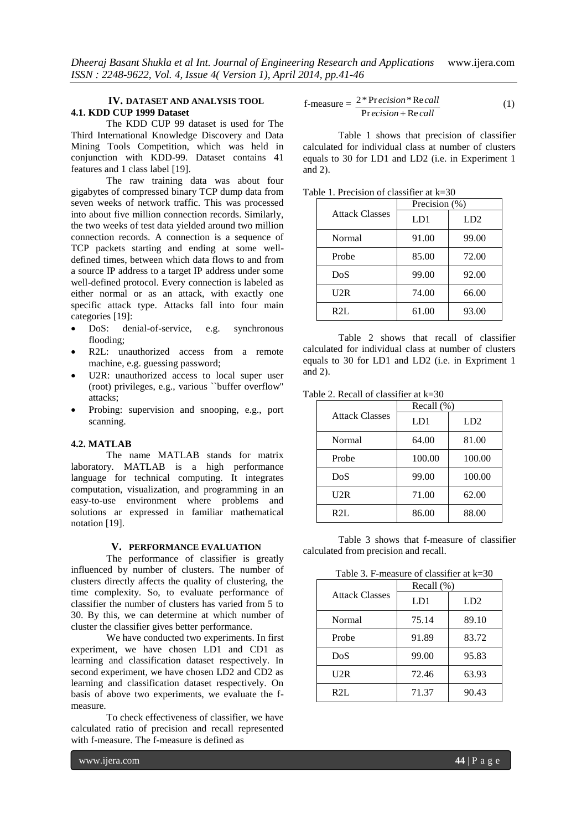## **IV. DATASET AND ANALYSIS TOOL 4.1. KDD CUP 1999 Dataset**

The KDD CUP 99 dataset is used for The Third International Knowledge Discovery and Data Mining Tools Competition, which was held in conjunction with KDD-99. Dataset contains 41 features and 1 class label [19].

The raw training data was about four gigabytes of compressed binary TCP dump data from seven weeks of network traffic. This was processed into about five million connection records. Similarly, the two weeks of test data yielded around two million connection records. A connection is a sequence of TCP packets starting and ending at some welldefined times, between which data flows to and from a source IP address to a target IP address under some well-defined protocol. Every connection is labeled as either normal or as an attack, with exactly one specific attack type. Attacks fall into four main

- categories [19]:<br>• DoS: der denial-of-service, e.g. synchronous flooding;
- R2L: unauthorized access from a remote machine, e.g. guessing password;
- U2R: unauthorized access to local super user (root) privileges, e.g., various ``buffer overflow'' attacks;
- Probing: supervision and snooping, e.g., port scanning.

## **4.2. MATLAB**

The name MATLAB stands for matrix laboratory. MATLAB is a high performance language for technical computing. It integrates computation, visualization, and programming in an easy-to-use environment where problems and solutions ar expressed in familiar mathematical notation [19].

#### **V. PERFORMANCE EVALUATION**

The performance of classifier is greatly influenced by number of clusters. The number of clusters directly affects the quality of clustering, the time complexity. So, to evaluate performance of classifier the number of clusters has varied from 5 to 30. By this, we can determine at which number of cluster the classifier gives better performance.

We have conducted two experiments. In first experiment, we have chosen LD1 and CD1 as learning and classification dataset respectively. In second experiment, we have chosen LD2 and CD2 as learning and classification dataset respectively. On basis of above two experiments, we evaluate the fmeasure.

To check effectiveness of classifier, we have calculated ratio of precision and recall represented with f-measure. The f-measure is defined as

$$
f-measure = \frac{2*Precision*Recall}{Precision+Recall}
$$
 (1)

Table 1 shows that precision of classifier calculated for individual class at number of clusters equals to 30 for LD1 and LD2 (i.e. in Experiment 1 and 2).

| Table 1. Precision of classifier at $k=30$ |  |
|--------------------------------------------|--|
|--------------------------------------------|--|

|                       | Precision (%) |       |
|-----------------------|---------------|-------|
| <b>Attack Classes</b> | LD1           | LD2   |
| Normal                | 91.00         | 99.00 |
| Probe                 | 85.00         | 72.00 |
| DoS                   | 99.00         | 92.00 |
| U2R                   | 74.00         | 66.00 |
| R2L                   | 61.00         | 93.00 |

Table 2 shows that recall of classifier calculated for individual class at number of clusters equals to 30 for LD1 and LD2 (i.e. in Expriment 1 and 2).

Table 2. Recall of classifier at k=30

|                       | Recall (%) |        |
|-----------------------|------------|--------|
| <b>Attack Classes</b> | LD1        | LD2    |
| Normal                | 64.00      | 81.00  |
| Probe                 | 100.00     | 100.00 |
| DoS                   | 99.00      | 100.00 |
| U2R                   | 71.00      | 62.00  |
| R2L                   | 86.00      | 88.00  |

Table 3 shows that f-measure of classifier calculated from precision and recall.

Table 3. F-measure of classifier at k=30

|                       | Recall (%) |       |
|-----------------------|------------|-------|
| <b>Attack Classes</b> | LD1        | LD2   |
| Normal                | 75.14      | 89.10 |
| Probe                 | 91.89      | 83.72 |
| DoS                   | 99.00      | 95.83 |
| U2R                   | 72.46      | 63.93 |
| R2L                   | 71.37      | 90.43 |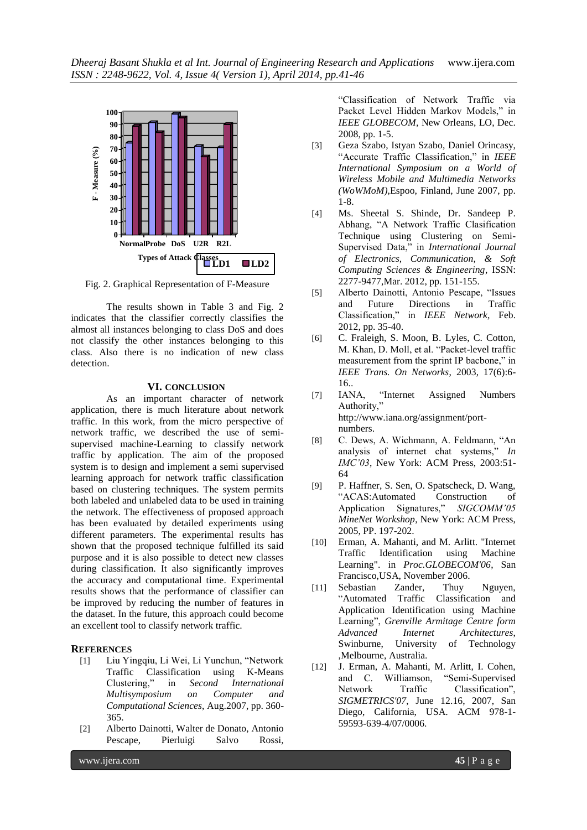

Fig. 2. Graphical Representation of F-Measure

The results shown in Table 3 and Fig. 2 indicates that the classifier correctly classifies the almost all instances belonging to class DoS and does not classify the other instances belonging to this class. Also there is no indication of new class detection.

## **VI. CONCLUSION**

As an important character of network application, there is much literature about network traffic. In this work, from the micro perspective of network traffic, we described the use of semisupervised machine-Learning to classify network traffic by application. The aim of the proposed system is to design and implement a semi supervised learning approach for network traffic classification based on clustering techniques. The system permits both labeled and unlabeled data to be used in training the network. The effectiveness of proposed approach has been evaluated by detailed experiments using different parameters. The experimental results has shown that the proposed technique fulfilled its said purpose and it is also possible to detect new classes during classification. It also significantly improves the accuracy and computational time. Experimental results shows that the performance of classifier can be improved by reducing the number of features in the dataset. In the future, this approach could become an excellent tool to classify network traffic.

#### **REFERENCES**

- [1] Liu Yingqiu, Li Wei, Li Yunchun, "Network Traffic Classification using K-Means Clustering," in *Second International Multisymposium on Computer and Computational Sciences*, Aug.2007, pp. 360- 365.
- [2] Alberto Dainotti, Walter de Donato, Antonio Pescape, Pierluigi Salvo Rossi,

"Classification of Network Traffic via Packet Level Hidden Markov Models," in *IEEE GLOBECOM,* New Orleans, LO, Dec. 2008, pp. 1-5.

- [3] Geza Szabo, Istyan Szabo, Daniel Orincasy, "Accurate Traffic Classification," in *IEEE International Symposium on a World of Wireless Mobile and Multimedia Networks (WoWMoM)*,Espoo, Finland, June 2007, pp. 1-8.
- [4] Ms. Sheetal S. Shinde, Dr. Sandeep P. Abhang, "A Network Traffic Clasification Technique using Clustering on Semi-Supervised Data," in *International Journal of Electronics, Communication, & Soft Computing Sciences & Engineering*, ISSN: 2277-9477,Mar. 2012, pp. 151-155.
- [5] Alberto Dainotti, Antonio Pescape, "Issues and Future Directions in Traffic Classification," in *IEEE Network*, Feb. 2012, pp. 35-40.
- [6] C. Fraleigh, S. Moon, B. Lyles, C. Cotton, M. Khan, D. Moll, et al. "Packet-level traffic measurement from the sprint IP bacbone," in *IEEE Trans. On Networks*, 2003, 17(6):6- 16..
- [7] IANA, "Internet Assigned Numbers Authority," http://www.iana.org/assignment/portnumbers.
- [8] C. Dews, A. Wichmann, A. Feldmann, "An analysis of internet chat systems," *In IMC'03*, New York: ACM Press, 2003:51- 64
- [9] P. Haffner, S. Sen, O. Spatscheck, D. Wang, "ACAS:Automated Construction of Application Signatures," *SIGCOMM'05 MineNet Workshop*, New York: ACM Press, 2005, PP. 197-202.
- [10] Erman, A. Mahanti, and M. Arlitt. "Internet Traffic Identification using Machine Learning". in *Proc.GLOBECOM'06*, San Francisco,USA, November 2006.
- [11] Sebastian Zander, Thuy Nguyen, "Automated Traffic Classification and Application Identification using Machine Learning", *Grenville Armitage Centre form Advanced Internet Architectures*, Swinburne, University of Technology ,Melbourne, Australia.
- [12] J. Erman, A. Mahanti, M. Arlitt, I. Cohen, and C. Williamson, "Semi-Supervised Network Traffic Classification", *SIGMETRICS'07*, June 12.16, 2007, San Diego, California, USA. ACM 978-1- 59593-639-4/07/0006.